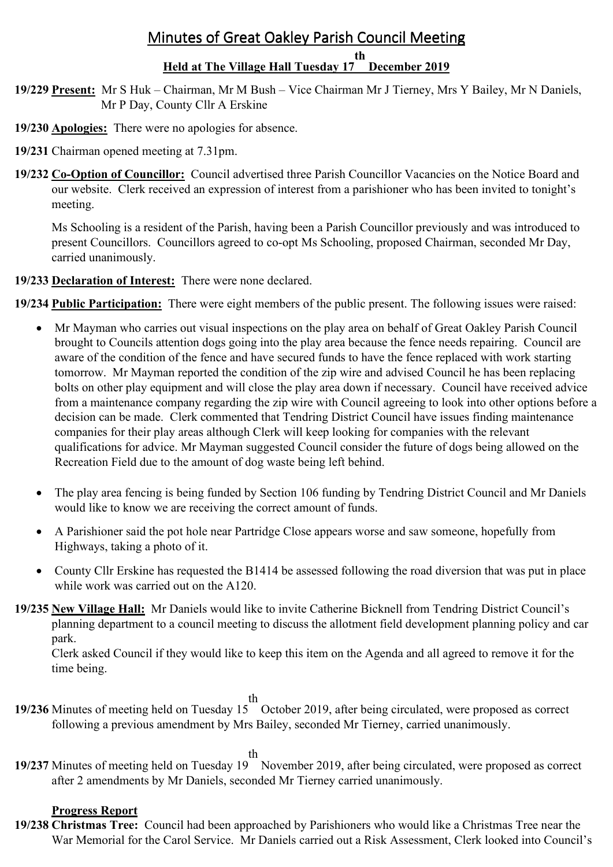# Minutes of Great Oakley Parish Council Meeting

#### **Held at The Village Hall Tuesday 17 December 2019 th**

- **19/229 Present:** Mr S Huk Chairman, Mr M Bush Vice Chairman Mr J Tierney, Mrs Y Bailey, Mr N Daniels, Mr P Day, County Cllr A Erskine
- **19/230 Apologies:** There were no apologies for absence.
- **19/231** Chairman opened meeting at 7.31pm.
- **19/232 Co-Option of Councillor:** Council advertised three Parish Councillor Vacancies on the Notice Board and our website. Clerk received an expression of interest from a parishioner who has been invited to tonight's meeting.

Ms Schooling is a resident of the Parish, having been a Parish Councillor previously and was introduced to present Councillors. Councillors agreed to co-opt Ms Schooling, proposed Chairman, seconded Mr Day, carried unanimously.

# **19/233 Declaration of Interest:** There were none declared.

**19/234 Public Participation:** There were eight members of the public present. The following issues were raised:

- Mr Mayman who carries out visual inspections on the play area on behalf of Great Oakley Parish Council brought to Councils attention dogs going into the play area because the fence needs repairing. Council are aware of the condition of the fence and have secured funds to have the fence replaced with work starting tomorrow. Mr Mayman reported the condition of the zip wire and advised Council he has been replacing bolts on other play equipment and will close the play area down if necessary. Council have received advice from a maintenance company regarding the zip wire with Council agreeing to look into other options before a decision can be made. Clerk commented that Tendring District Council have issues finding maintenance companies for their play areas although Clerk will keep looking for companies with the relevant qualifications for advice. Mr Mayman suggested Council consider the future of dogs being allowed on the Recreation Field due to the amount of dog waste being left behind.
- The play area fencing is being funded by Section 106 funding by Tendring District Council and Mr Daniels would like to know we are receiving the correct amount of funds.
- A Parishioner said the pot hole near Partridge Close appears worse and saw someone, hopefully from Highways, taking a photo of it.
- County Cllr Erskine has requested the B1414 be assessed following the road diversion that was put in place while work was carried out on the A120.
- **19/235 New Village Hall:** Mr Daniels would like to invite Catherine Bicknell from Tendring District Council's planning department to a council meeting to discuss the allotment field development planning policy and car park.

Clerk asked Council if they would like to keep this item on the Agenda and all agreed to remove it for the time being.

th

**19/236** Minutes of meeting held on Tuesday 15 October 2019, after being circulated, were proposed as correct following a previous amendment by Mrs Bailey, seconded Mr Tierney, carried unanimously.

th

**19/237** Minutes of meeting held on Tuesday 19 November 2019, after being circulated, were proposed as correct after 2 amendments by Mr Daniels, seconded Mr Tierney carried unanimously.

# **Progress Report**

**19/238 Christmas Tree:** Council had been approached by Parishioners who would like a Christmas Tree near the War Memorial for the Carol Service. Mr Daniels carried out a Risk Assessment, Clerk looked into Council's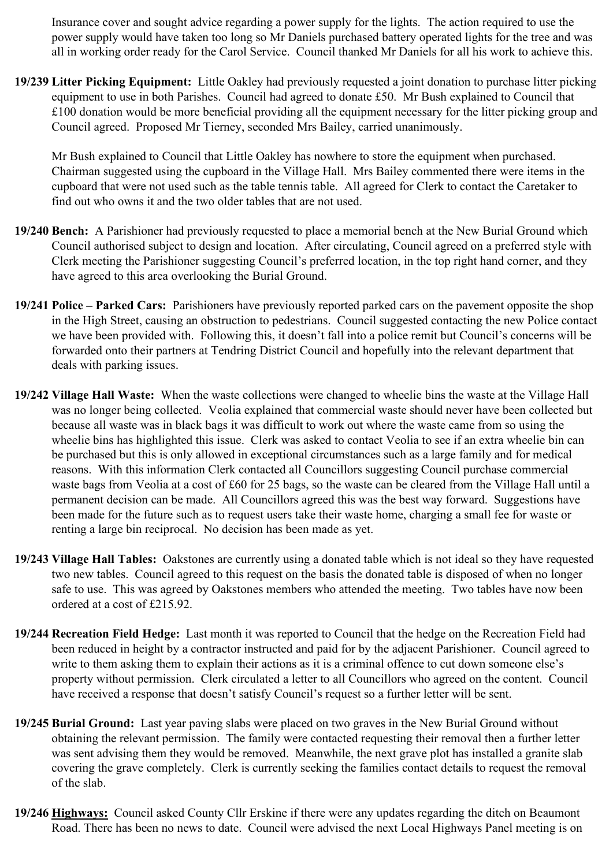Insurance cover and sought advice regarding a power supply for the lights. The action required to use the power supply would have taken too long so Mr Daniels purchased battery operated lights for the tree and was all in working order ready for the Carol Service. Council thanked Mr Daniels for all his work to achieve this.

**19/239 Litter Picking Equipment:** Little Oakley had previously requested a joint donation to purchase litter picking equipment to use in both Parishes. Council had agreed to donate £50. Mr Bush explained to Council that £100 donation would be more beneficial providing all the equipment necessary for the litter picking group and Council agreed. Proposed Mr Tierney, seconded Mrs Bailey, carried unanimously.

Mr Bush explained to Council that Little Oakley has nowhere to store the equipment when purchased. Chairman suggested using the cupboard in the Village Hall. Mrs Bailey commented there were items in the cupboard that were not used such as the table tennis table. All agreed for Clerk to contact the Caretaker to find out who owns it and the two older tables that are not used.

- **19/240 Bench:** A Parishioner had previously requested to place a memorial bench at the New Burial Ground which Council authorised subject to design and location. After circulating, Council agreed on a preferred style with Clerk meeting the Parishioner suggesting Council's preferred location, in the top right hand corner, and they have agreed to this area overlooking the Burial Ground.
- **19/241 Police Parked Cars:** Parishioners have previously reported parked cars on the pavement opposite the shop in the High Street, causing an obstruction to pedestrians. Council suggested contacting the new Police contact we have been provided with. Following this, it doesn't fall into a police remit but Council's concerns will be forwarded onto their partners at Tendring District Council and hopefully into the relevant department that deals with parking issues.
- **19/242 Village Hall Waste:** When the waste collections were changed to wheelie bins the waste at the Village Hall was no longer being collected. Veolia explained that commercial waste should never have been collected but because all waste was in black bags it was difficult to work out where the waste came from so using the wheelie bins has highlighted this issue. Clerk was asked to contact Veolia to see if an extra wheelie bin can be purchased but this is only allowed in exceptional circumstances such as a large family and for medical reasons. With this information Clerk contacted all Councillors suggesting Council purchase commercial waste bags from Veolia at a cost of £60 for 25 bags, so the waste can be cleared from the Village Hall until a permanent decision can be made. All Councillors agreed this was the best way forward. Suggestions have been made for the future such as to request users take their waste home, charging a small fee for waste or renting a large bin reciprocal. No decision has been made as yet.
- **19/243 Village Hall Tables:** Oakstones are currently using a donated table which is not ideal so they have requested two new tables. Council agreed to this request on the basis the donated table is disposed of when no longer safe to use. This was agreed by Oakstones members who attended the meeting. Two tables have now been ordered at a cost of £215.92.
- **19/244 Recreation Field Hedge:** Last month it was reported to Council that the hedge on the Recreation Field had been reduced in height by a contractor instructed and paid for by the adjacent Parishioner. Council agreed to write to them asking them to explain their actions as it is a criminal offence to cut down someone else's property without permission. Clerk circulated a letter to all Councillors who agreed on the content. Council have received a response that doesn't satisfy Council's request so a further letter will be sent.
- **19/245 Burial Ground:** Last year paving slabs were placed on two graves in the New Burial Ground without obtaining the relevant permission. The family were contacted requesting their removal then a further letter was sent advising them they would be removed. Meanwhile, the next grave plot has installed a granite slab covering the grave completely. Clerk is currently seeking the families contact details to request the removal of the slab.
- **19/246 Highways:** Council asked County Cllr Erskine if there were any updates regarding the ditch on Beaumont Road. There has been no news to date. Council were advised the next Local Highways Panel meeting is on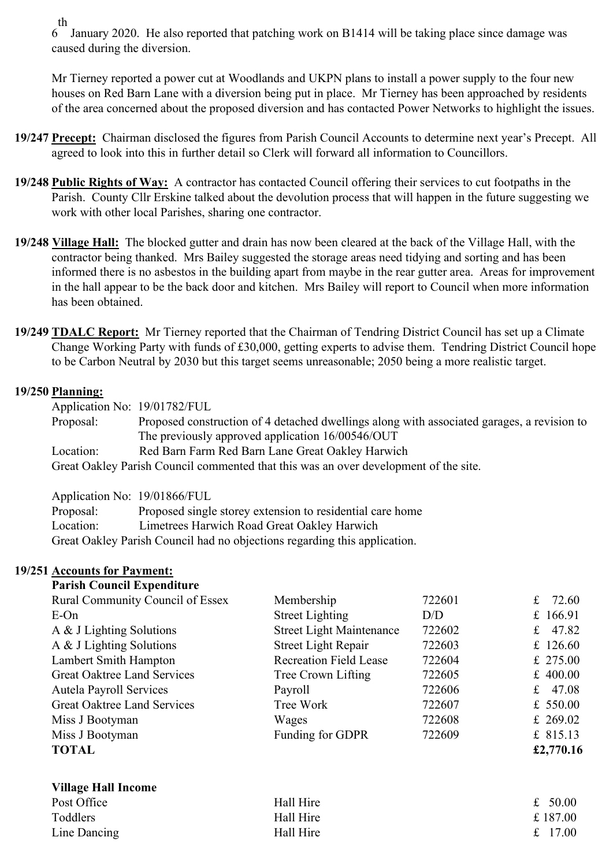th

6 January 2020. He also reported that patching work on B1414 will be taking place since damage was caused during the diversion.

 Mr Tierney reported a power cut at Woodlands and UKPN plans to install a power supply to the four new houses on Red Barn Lane with a diversion being put in place. Mr Tierney has been approached by residents of the area concerned about the proposed diversion and has contacted Power Networks to highlight the issues.

- **19/247 Precept:** Chairman disclosed the figures from Parish Council Accounts to determine next year's Precept. All agreed to look into this in further detail so Clerk will forward all information to Councillors.
- **19/248 Public Rights of Way:** A contractor has contacted Council offering their services to cut footpaths in the Parish. County Cllr Erskine talked about the devolution process that will happen in the future suggesting we work with other local Parishes, sharing one contractor.
- **19/248 Village Hall:** The blocked gutter and drain has now been cleared at the back of the Village Hall, with the contractor being thanked. Mrs Bailey suggested the storage areas need tidying and sorting and has been informed there is no asbestos in the building apart from maybe in the rear gutter area. Areas for improvement in the hall appear to be the back door and kitchen. Mrs Bailey will report to Council when more information has been obtained.
- **19/249 TDALC Report:** Mr Tierney reported that the Chairman of Tendring District Council has set up a Climate Change Working Party with funds of £30,000, getting experts to advise them. Tendring District Council hope to be Carbon Neutral by 2030 but this target seems unreasonable; 2050 being a more realistic target.

## **19/250 Planning:**

Application No: 19/01782/FUL Proposal: Proposed construction of 4 detached dwellings along with associated garages, a revision to The previously approved application 16/00546/OUT Location: Red Barn Farm Red Barn Lane Great Oakley Harwich Great Oakley Parish Council commented that this was an over development of the site.

Application No: 19/01866/FUL

| Proposal: | Proposed single storey extension to residential care home                 |
|-----------|---------------------------------------------------------------------------|
| Location: | Limetrees Harwich Road Great Oakley Harwich                               |
|           | Great Oakley Parish Council had no objections regarding this application. |

## **19/251 Accounts for Payment:**

| <b>Parish Council Expenditure</b> |  |
|-----------------------------------|--|
|-----------------------------------|--|

| <b>Rural Community Council of Essex</b> | Membership                      | 722601 | $f_{\rm L}$<br>72.60 |
|-----------------------------------------|---------------------------------|--------|----------------------|
| $E$ -On                                 | <b>Street Lighting</b>          | D/D    | £ $166.91$           |
| A & J Lighting Solutions                | <b>Street Light Maintenance</b> | 722602 | 47.82<br>$f_{\rm L}$ |
| A & J Lighting Solutions                | <b>Street Light Repair</b>      | 722603 | £ 126.60             |
| Lambert Smith Hampton                   | <b>Recreation Field Lease</b>   | 722604 | £ 275.00             |
| Great Oaktree Land Services             | Tree Crown Lifting              | 722605 | £ $400.00$           |
| <b>Autela Payroll Services</b>          | Payroll                         | 722606 | 47.08<br>£           |
| <b>Great Oaktree Land Services</b>      | Tree Work                       | 722607 | £ $550.00$           |
| Miss J Bootyman                         | Wages                           | 722608 | £ 269.02             |
| Miss J Bootyman                         | Funding for GDPR                | 722609 | £ $815.13$           |
| <b>TOTAL</b>                            |                                 |        | £2,770.16            |
| <b>Village Hall Income</b>              |                                 |        |                      |
| Post Office                             | Hall Hire                       |        | £ $50.00$            |
| Toddlers                                | Hall Hire                       |        | £187.00              |
| Line Dancing                            | Hall Hire                       |        | 17.00<br>£           |